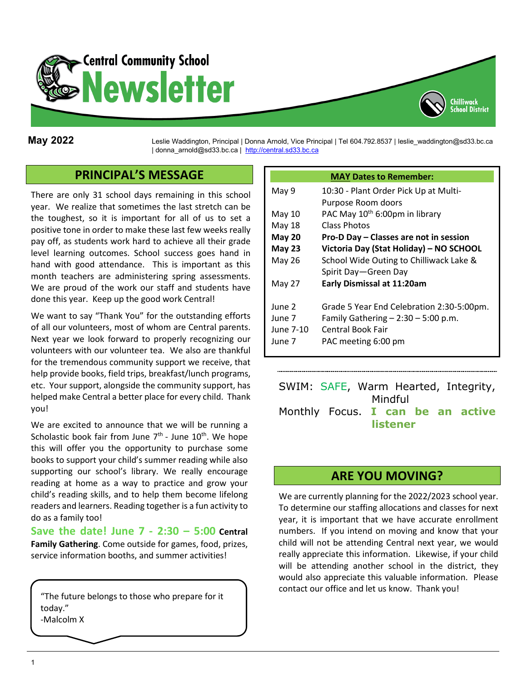

**May 2022** Leslie Waddington, Principal <sup>|</sup> Donna Arnold, Vice Principal | Tel 604.792.8537 | leslie\_waddington@sd33.bc.ca | donna\_arnold@sd33.bc.ca | [http://central.sd33.bc.ca](http://central.sd33.bc.ca/)

## **PRINCIPAL'S MESSAGE**

There are only 31 school days remaining in this school year. We realize that sometimes the last stretch can be the toughest, so it is important for all of us to set a positive tone in order to make these last few weeks really pay off, as students work hard to achieve all their grade level learning outcomes. School success goes hand in hand with good attendance. This is important as this month teachers are administering spring assessments. We are proud of the work our staff and students have done this year. Keep up the good work Central!

We want to say "Thank You" for the outstanding efforts of all our volunteers, most of whom are Central parents. Next year we look forward to properly recognizing our volunteers with our volunteer tea. We also are thankful for the tremendous community support we receive, that help provide books, field trips, breakfast/lunch programs, etc. Your support, alongside the community support, has helped make Central a better place for every child. Thank you!

We are excited to announce that we will be running a Scholastic book fair from June  $7<sup>th</sup>$  - June  $10<sup>th</sup>$ . We hope this will offer you the opportunity to purchase some books to support your child's summer reading while also supporting our school's library. We really encourage reading at home as a way to practice and grow your child's reading skills, and to help them become lifelong readers and learners. Reading together is a fun activity to do as a family too!

**Save the date! June 7 - 2:30 – 5:00 Central Family Gathering**. Come outside for games, food, prizes, service information booths, and summer activities!

"The future belongs to those who prepare for it today." -Malcolm X

#### **MAY Dates to Remember:**

Chilliwack

| May 9         | 10:30 - Plant Order Pick Up at Multi-<br>Purpose Room doors |
|---------------|-------------------------------------------------------------|
| May 10        | PAC May 10 <sup>th</sup> 6:00pm in library                  |
| May 18        | Class Photos                                                |
| <b>May 20</b> | Pro-D Day - Classes are not in session                      |
| May 23        | Victoria Day (Stat Holiday) - NO SCHOOL                     |
| May 26        | School Wide Outing to Chilliwack Lake &                     |
|               | Spirit Day-Green Day                                        |
| May 27        | <b>Early Dismissal at 11:20am</b>                           |
|               |                                                             |
| June 2        | Grade 5 Year End Celebration 2:30-5:00pm.                   |
| June 7        | Family Gathering $- 2:30 - 5:00$ p.m.                       |
| June 7-10     | <b>Central Book Fair</b>                                    |
| June 7        | PAC meeting 6:00 pm                                         |

SWIM: SAFE, Warm Hearted, Integrity, Mindful Monthly Focus. **I can be an active listener**

#### **ARE YOU MOVING?**

We are currently planning for the 2022/2023 school year. To determine our staffing allocations and classes for next year, it is important that we have accurate enrollment numbers. If you intend on moving and know that your child will not be attending Central next year, we would really appreciate this information. Likewise, if your child will be attending another school in the district, they would also appreciate this valuable information. Please contact our office and let us know. Thank you!

 $\mathbf{L}$